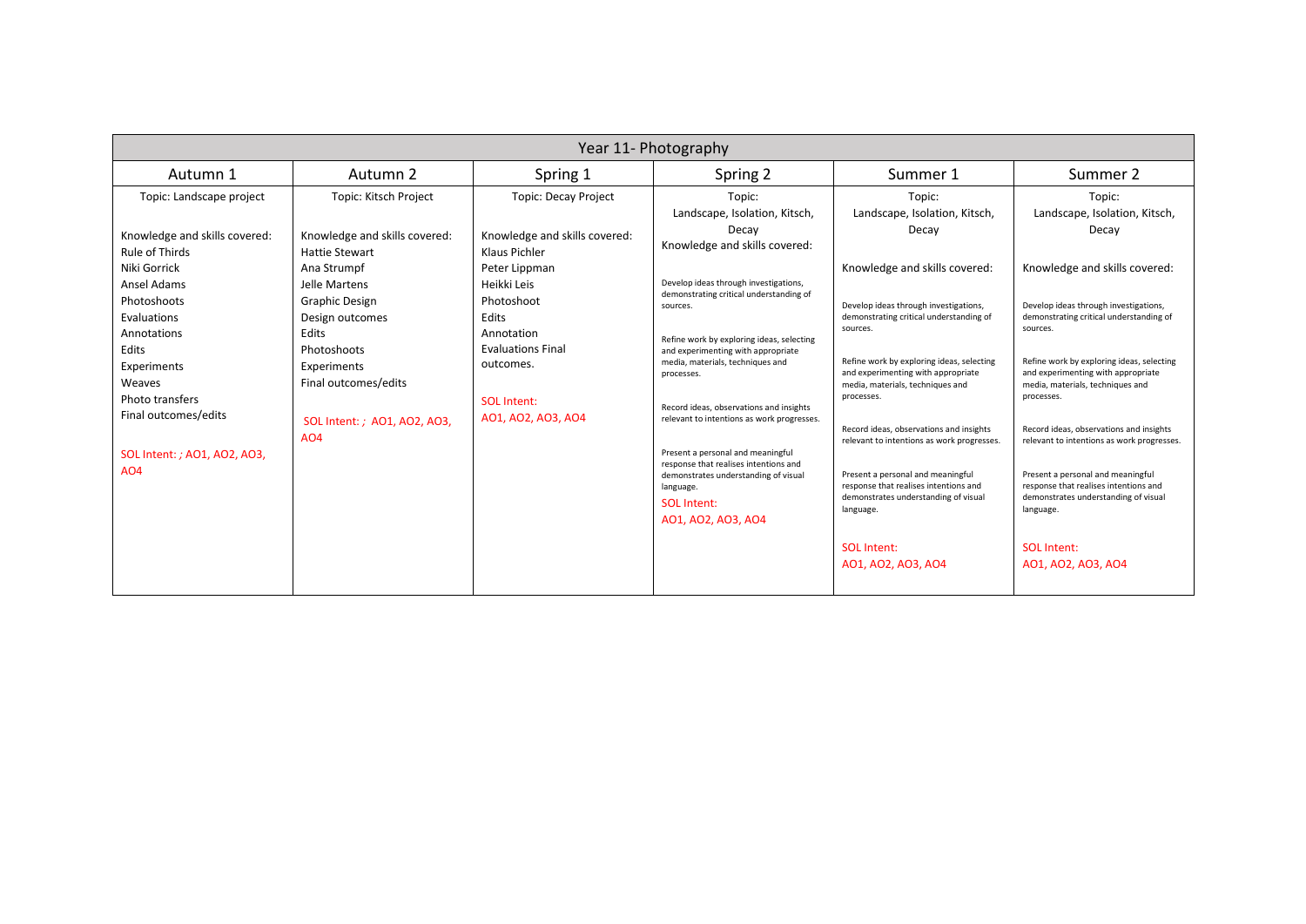| Summer 2<br>Autumn 1<br>Autumn 2<br>Spring 2<br>Summer 1<br>Spring 1<br>Topic: Kitsch Project<br><b>Topic: Decay Project</b><br>Topic: Landscape project<br>Topic:<br>Topic:<br>Topic:<br>Landscape, Isolation, Kitsch,<br>Landscape, Isolation, Kitsch,<br>Landscape, Isolation, Kitsch,<br>Decay<br>Decay<br>Decay<br>Knowledge and skills covered:<br>Knowledge and skills covered:<br>Knowledge and skills covered:<br>Knowledge and skills covered:<br><b>Rule of Thirds</b><br>Hattie Stewart<br>Klaus Pichler<br>Niki Gorrick<br>Knowledge and skills covered:<br>Knowledge and skills covered:<br>Ana Strumpf<br>Peter Lippman<br>Develop ideas through investigations,<br><b>Ansel Adams</b><br>Heikki Leis<br>Jelle Martens<br>demonstrating critical understanding of<br>Photoshoots<br>Graphic Design<br>Photoshoot<br>Develop ideas through investigations,<br>Develop ideas through investigations,<br>sources.<br>Evaluations<br>Edits<br>demonstrating critical understanding of<br>demonstrating critical understanding of<br>Design outcomes<br>sources.<br>sources.<br>Edits<br>Annotation<br>Annotations<br>Refine work by exploring ideas, selecting<br><b>Evaluations Final</b><br>Edits<br>Photoshoots<br>and experimenting with appropriate<br>Refine work by exploring ideas, selecting<br>Refine work by exploring ideas, selecting<br>media, materials, techniques and<br>outcomes.<br>Experiments<br>Experiments<br>and experimenting with appropriate<br>and experimenting with appropriate<br>processes.<br>Final outcomes/edits<br>Weaves<br>media, materials, techniques and<br>media, materials, techniques and<br>processes.<br>processes.<br>Photo transfers<br><b>SOL Intent:</b><br>Record ideas, observations and insights<br>Final outcomes/edits<br>AO1, AO2, AO3, AO4<br>relevant to intentions as work progresses.<br>SOL Intent: ; AO1, AO2, AO3,<br>Record ideas, observations and insights<br>Record ideas, observations and insights<br><b>AO4</b><br>relevant to intentions as work progresses.<br>relevant to intentions as work progresses.<br>Present a personal and meaningful<br>SOL Intent: ; AO1, AO2, AO3,<br>response that realises intentions and<br>A04<br>Present a personal and meaningful<br>Present a personal and meaningful<br>demonstrates understanding of visual<br>response that realises intentions and<br>response that realises intentions and<br>language.<br>demonstrates understanding of visual<br>demonstrates understanding of visual<br><b>SOL Intent:</b> | Year 11- Photography |  |  |  |           |           |
|------------------------------------------------------------------------------------------------------------------------------------------------------------------------------------------------------------------------------------------------------------------------------------------------------------------------------------------------------------------------------------------------------------------------------------------------------------------------------------------------------------------------------------------------------------------------------------------------------------------------------------------------------------------------------------------------------------------------------------------------------------------------------------------------------------------------------------------------------------------------------------------------------------------------------------------------------------------------------------------------------------------------------------------------------------------------------------------------------------------------------------------------------------------------------------------------------------------------------------------------------------------------------------------------------------------------------------------------------------------------------------------------------------------------------------------------------------------------------------------------------------------------------------------------------------------------------------------------------------------------------------------------------------------------------------------------------------------------------------------------------------------------------------------------------------------------------------------------------------------------------------------------------------------------------------------------------------------------------------------------------------------------------------------------------------------------------------------------------------------------------------------------------------------------------------------------------------------------------------------------------------------------------------------------------------------------------------------------------------------------------------------------------------------------------------------------------------------------------------------------------------------------------------------|----------------------|--|--|--|-----------|-----------|
|                                                                                                                                                                                                                                                                                                                                                                                                                                                                                                                                                                                                                                                                                                                                                                                                                                                                                                                                                                                                                                                                                                                                                                                                                                                                                                                                                                                                                                                                                                                                                                                                                                                                                                                                                                                                                                                                                                                                                                                                                                                                                                                                                                                                                                                                                                                                                                                                                                                                                                                                          |                      |  |  |  |           |           |
| AO1, AO2, AO3, AO4<br>SOL Intent:<br>SOL Intent:<br>A01, A02, A03, A04<br>A01, A02, A03, A04                                                                                                                                                                                                                                                                                                                                                                                                                                                                                                                                                                                                                                                                                                                                                                                                                                                                                                                                                                                                                                                                                                                                                                                                                                                                                                                                                                                                                                                                                                                                                                                                                                                                                                                                                                                                                                                                                                                                                                                                                                                                                                                                                                                                                                                                                                                                                                                                                                             |                      |  |  |  | language. | language. |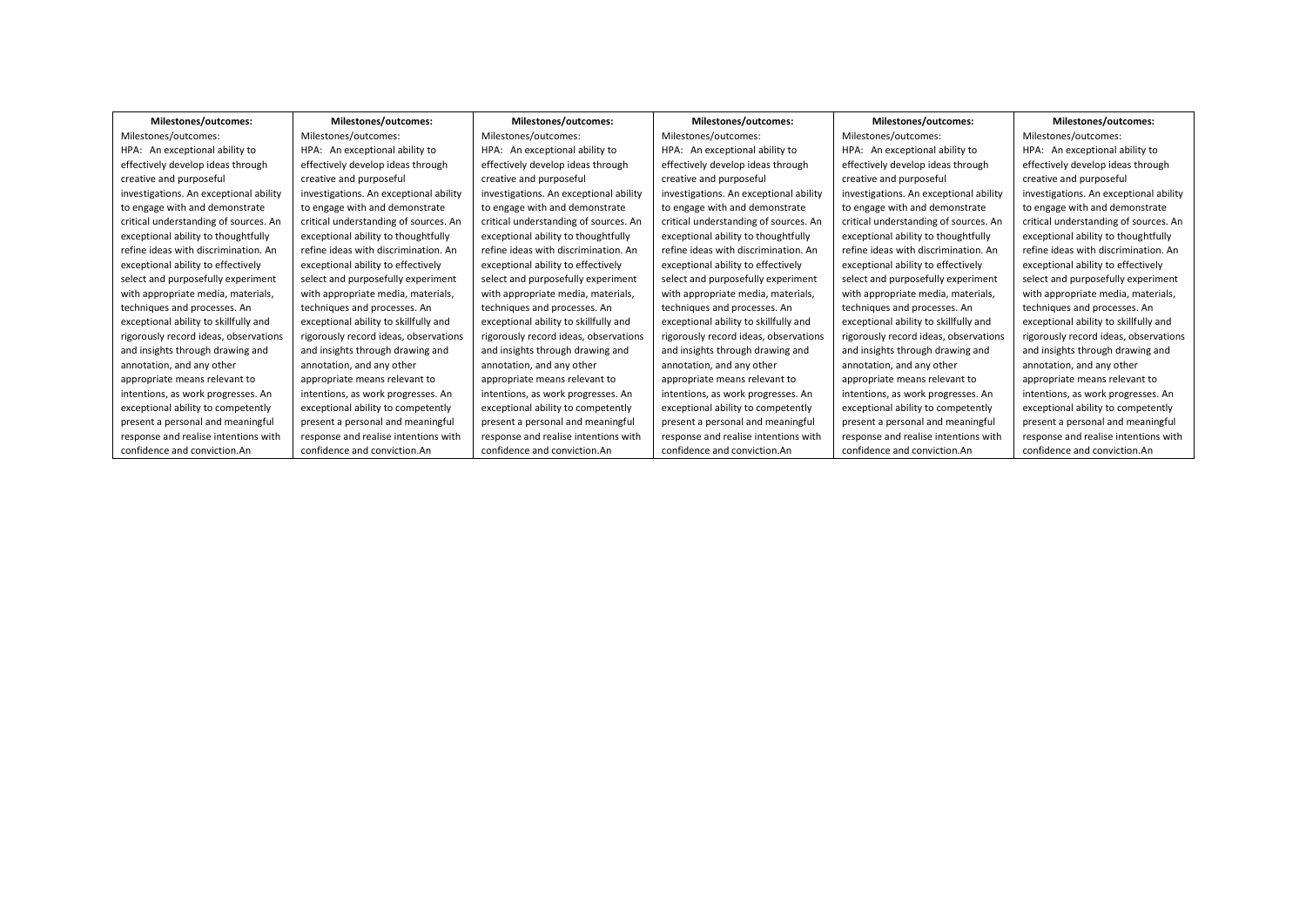| Milestones/outcomes:                   | Milestones/outcomes:                   | Milestones/outcomes:                   | Milestones/outcomes:                   | Milestones/outcomes:                   | Milestones/outcomes:                   |
|----------------------------------------|----------------------------------------|----------------------------------------|----------------------------------------|----------------------------------------|----------------------------------------|
| Milestones/outcomes:                   | Milestones/outcomes:                   | Milestones/outcomes:                   | Milestones/outcomes:                   | Milestones/outcomes:                   | Milestones/outcomes:                   |
| HPA: An exceptional ability to         | HPA: An exceptional ability to         | HPA: An exceptional ability to         | HPA: An exceptional ability to         | HPA: An exceptional ability to         | HPA: An exceptional ability to         |
| effectively develop ideas through      | effectively develop ideas through      | effectively develop ideas through      | effectively develop ideas through      | effectively develop ideas through      | effectively develop ideas through      |
| creative and purposeful                | creative and purposeful                | creative and purposeful                | creative and purposeful                | creative and purposeful                | creative and purposeful                |
| investigations. An exceptional ability | investigations. An exceptional ability | investigations. An exceptional ability | investigations. An exceptional ability | investigations. An exceptional ability | investigations. An exceptional ability |
| to engage with and demonstrate         | to engage with and demonstrate         | to engage with and demonstrate         | to engage with and demonstrate         | to engage with and demonstrate         | to engage with and demonstrate         |
| critical understanding of sources. An  | critical understanding of sources. An  | critical understanding of sources. An  | critical understanding of sources. An  | critical understanding of sources. An  | critical understanding of sources. An  |
| exceptional ability to thoughtfully    | exceptional ability to thoughtfully    | exceptional ability to thoughtfully    | exceptional ability to thoughtfully    | exceptional ability to thoughtfully    | exceptional ability to thoughtfully    |
| refine ideas with discrimination. An   | refine ideas with discrimination. An   | refine ideas with discrimination. An   | refine ideas with discrimination. An   | refine ideas with discrimination. An   | refine ideas with discrimination. An   |
| exceptional ability to effectively     | exceptional ability to effectively     | exceptional ability to effectively     | exceptional ability to effectively     | exceptional ability to effectively     | exceptional ability to effectively     |
| select and purposefully experiment     | select and purposefully experiment     | select and purposefully experiment     | select and purposefully experiment     | select and purposefully experiment     | select and purposefully experiment     |
| with appropriate media, materials,     | with appropriate media, materials,     | with appropriate media, materials,     | with appropriate media, materials,     | with appropriate media, materials,     | with appropriate media, materials,     |
| techniques and processes. An           | techniques and processes. An           | techniques and processes. An           | techniques and processes. An           | techniques and processes. An           | techniques and processes. An           |
| exceptional ability to skillfully and  | exceptional ability to skillfully and  | exceptional ability to skillfully and  | exceptional ability to skillfully and  | exceptional ability to skillfully and  | exceptional ability to skillfully and  |
| rigorously record ideas, observations  | rigorously record ideas, observations  | rigorously record ideas, observations  | rigorously record ideas, observations  | rigorously record ideas, observations  | rigorously record ideas, observations  |
| and insights through drawing and       | and insights through drawing and       | and insights through drawing and       | and insights through drawing and       | and insights through drawing and       | and insights through drawing and       |
| annotation, and any other              | annotation, and any other              | annotation, and any other              | annotation, and any other              | annotation, and any other              | annotation, and any other              |
| appropriate means relevant to          | appropriate means relevant to          | appropriate means relevant to          | appropriate means relevant to          | appropriate means relevant to          | appropriate means relevant to          |
| intentions, as work progresses. An     | intentions, as work progresses. An     | intentions, as work progresses. An     | intentions, as work progresses. An     | intentions, as work progresses. An     | intentions, as work progresses. An     |
| exceptional ability to competently     | exceptional ability to competently     | exceptional ability to competently     | exceptional ability to competently     | exceptional ability to competently     | exceptional ability to competently     |
| present a personal and meaningful      | present a personal and meaningful      | present a personal and meaningful      | present a personal and meaningful      | present a personal and meaningful      | present a personal and meaningful      |
| response and realise intentions with   | response and realise intentions with   | response and realise intentions with   | response and realise intentions with   | response and realise intentions with   | response and realise intentions with   |
| confidence and conviction.An           | confidence and conviction.An           | confidence and conviction.An           | confidence and conviction.An           | confidence and conviction.An           | confidence and conviction.An           |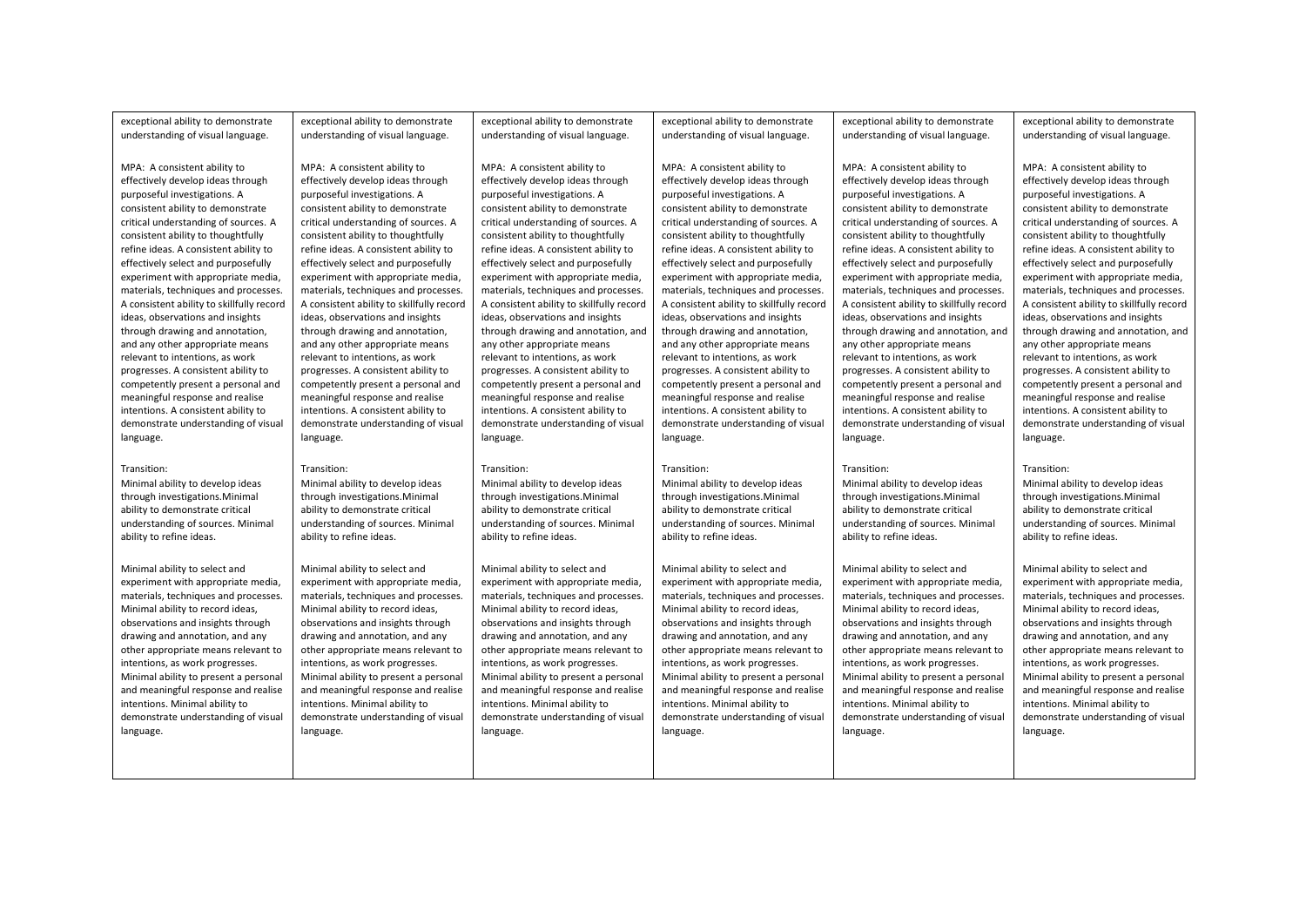| exceptional ability to demonstrate        | exceptional ability to demonstrate        | exceptional ability to demonstrate        | exceptional ability to demonstrate        | exceptional ability to demonstrate        | exceptional ability to demonstrate        |
|-------------------------------------------|-------------------------------------------|-------------------------------------------|-------------------------------------------|-------------------------------------------|-------------------------------------------|
| understanding of visual language.         | understanding of visual language.         | understanding of visual language.         | understanding of visual language.         | understanding of visual language.         | understanding of visual language.         |
|                                           |                                           |                                           |                                           |                                           |                                           |
| MPA: A consistent ability to              | MPA: A consistent ability to              | MPA: A consistent ability to              | MPA: A consistent ability to              | MPA: A consistent ability to              | MPA: A consistent ability to              |
| effectively develop ideas through         | effectively develop ideas through         | effectively develop ideas through         | effectively develop ideas through         | effectively develop ideas through         | effectively develop ideas through         |
| purposeful investigations. A              | purposeful investigations. A              | purposeful investigations. A              | purposeful investigations. A              | purposeful investigations. A              | purposeful investigations. A              |
| consistent ability to demonstrate         | consistent ability to demonstrate         | consistent ability to demonstrate         | consistent ability to demonstrate         | consistent ability to demonstrate         | consistent ability to demonstrate         |
| critical understanding of sources. A      | critical understanding of sources. A      | critical understanding of sources. A      | critical understanding of sources. A      | critical understanding of sources. A      | critical understanding of sources. A      |
| consistent ability to thoughtfully        | consistent ability to thoughtfully        | consistent ability to thoughtfully        | consistent ability to thoughtfully        | consistent ability to thoughtfully        | consistent ability to thoughtfully        |
| refine ideas. A consistent ability to     | refine ideas. A consistent ability to     | refine ideas. A consistent ability to     | refine ideas. A consistent ability to     | refine ideas. A consistent ability to     | refine ideas. A consistent ability to     |
| effectively select and purposefully       | effectively select and purposefully       | effectively select and purposefully       | effectively select and purposefully       | effectively select and purposefully       | effectively select and purposefully       |
| experiment with appropriate media,        | experiment with appropriate media,        | experiment with appropriate media,        | experiment with appropriate media,        | experiment with appropriate media,        | experiment with appropriate media,        |
| materials, techniques and processes.      | materials, techniques and processes.      | materials, techniques and processes.      | materials, techniques and processes.      | materials, techniques and processes.      | materials, techniques and processes.      |
| A consistent ability to skillfully record | A consistent ability to skillfully record | A consistent ability to skillfully record | A consistent ability to skillfully record | A consistent ability to skillfully record | A consistent ability to skillfully record |
| ideas, observations and insights          | ideas, observations and insights          | ideas, observations and insights          | ideas, observations and insights          | ideas, observations and insights          | ideas, observations and insights          |
| through drawing and annotation,           | through drawing and annotation,           | through drawing and annotation, and       | through drawing and annotation,           | through drawing and annotation, and       | through drawing and annotation, and       |
| and any other appropriate means           | and any other appropriate means           | any other appropriate means               | and any other appropriate means           | any other appropriate means               | any other appropriate means               |
| relevant to intentions, as work           | relevant to intentions, as work           | relevant to intentions, as work           | relevant to intentions, as work           | relevant to intentions, as work           | relevant to intentions, as work           |
| progresses. A consistent ability to       | progresses. A consistent ability to       | progresses. A consistent ability to       | progresses. A consistent ability to       | progresses. A consistent ability to       | progresses. A consistent ability to       |
| competently present a personal and        | competently present a personal and        | competently present a personal and        | competently present a personal and        | competently present a personal and        | competently present a personal and        |
| meaningful response and realise           | meaningful response and realise           | meaningful response and realise           | meaningful response and realise           | meaningful response and realise           | meaningful response and realise           |
| intentions. A consistent ability to       | intentions. A consistent ability to       | intentions. A consistent ability to       | intentions. A consistent ability to       | intentions. A consistent ability to       | intentions. A consistent ability to       |
| demonstrate understanding of visual       | demonstrate understanding of visual       | demonstrate understanding of visual       | demonstrate understanding of visual       | demonstrate understanding of visual       | demonstrate understanding of visual       |
| language.                                 | language.                                 | language.                                 | language.                                 | language.                                 | language.                                 |
| Transition:                               | Transition:                               | Transition:                               | Transition:                               | Transition:                               | Transition:                               |
| Minimal ability to develop ideas          | Minimal ability to develop ideas          | Minimal ability to develop ideas          | Minimal ability to develop ideas          | Minimal ability to develop ideas          | Minimal ability to develop ideas          |
| through investigations. Minimal           | through investigations. Minimal           | through investigations. Minimal           | through investigations. Minimal           | through investigations. Minimal           | through investigations. Minimal           |
| ability to demonstrate critical           | ability to demonstrate critical           | ability to demonstrate critical           | ability to demonstrate critical           | ability to demonstrate critical           | ability to demonstrate critical           |
| understanding of sources. Minimal         | understanding of sources. Minimal         | understanding of sources. Minimal         | understanding of sources. Minimal         | understanding of sources. Minimal         | understanding of sources. Minimal         |
| ability to refine ideas.                  | ability to refine ideas.                  | ability to refine ideas.                  | ability to refine ideas.                  | ability to refine ideas.                  | ability to refine ideas.                  |
| Minimal ability to select and             | Minimal ability to select and             | Minimal ability to select and             | Minimal ability to select and             | Minimal ability to select and             | Minimal ability to select and             |
| experiment with appropriate media,        | experiment with appropriate media,        | experiment with appropriate media,        | experiment with appropriate media,        | experiment with appropriate media,        | experiment with appropriate media,        |
| materials, techniques and processes.      | materials, techniques and processes.      | materials, techniques and processes.      | materials, techniques and processes.      | materials, techniques and processes.      | materials, techniques and processes.      |
| Minimal ability to record ideas,          | Minimal ability to record ideas,          | Minimal ability to record ideas,          | Minimal ability to record ideas,          | Minimal ability to record ideas,          | Minimal ability to record ideas,          |
| observations and insights through         | observations and insights through         | observations and insights through         | observations and insights through         | observations and insights through         | observations and insights through         |
| drawing and annotation, and any           | drawing and annotation, and any           | drawing and annotation, and any           | drawing and annotation, and any           | drawing and annotation, and any           | drawing and annotation, and any           |
| other appropriate means relevant to       | other appropriate means relevant to       | other appropriate means relevant to       | other appropriate means relevant to       | other appropriate means relevant to       | other appropriate means relevant to       |
| intentions, as work progresses.           | intentions, as work progresses.           | intentions, as work progresses.           | intentions, as work progresses.           | intentions, as work progresses.           | intentions, as work progresses.           |
| Minimal ability to present a personal     | Minimal ability to present a personal     | Minimal ability to present a personal     | Minimal ability to present a personal     | Minimal ability to present a personal     | Minimal ability to present a personal     |
| and meaningful response and realise       | and meaningful response and realise       | and meaningful response and realise       | and meaningful response and realise       | and meaningful response and realise       | and meaningful response and realise       |
| intentions. Minimal ability to            | intentions. Minimal ability to            | intentions. Minimal ability to            | intentions. Minimal ability to            | intentions. Minimal ability to            | intentions. Minimal ability to            |
| demonstrate understanding of visual       | demonstrate understanding of visual       | demonstrate understanding of visual       | demonstrate understanding of visual       | demonstrate understanding of visual       | demonstrate understanding of visual       |
| language.                                 | language.                                 | language.                                 | language.                                 | language.                                 | language.                                 |